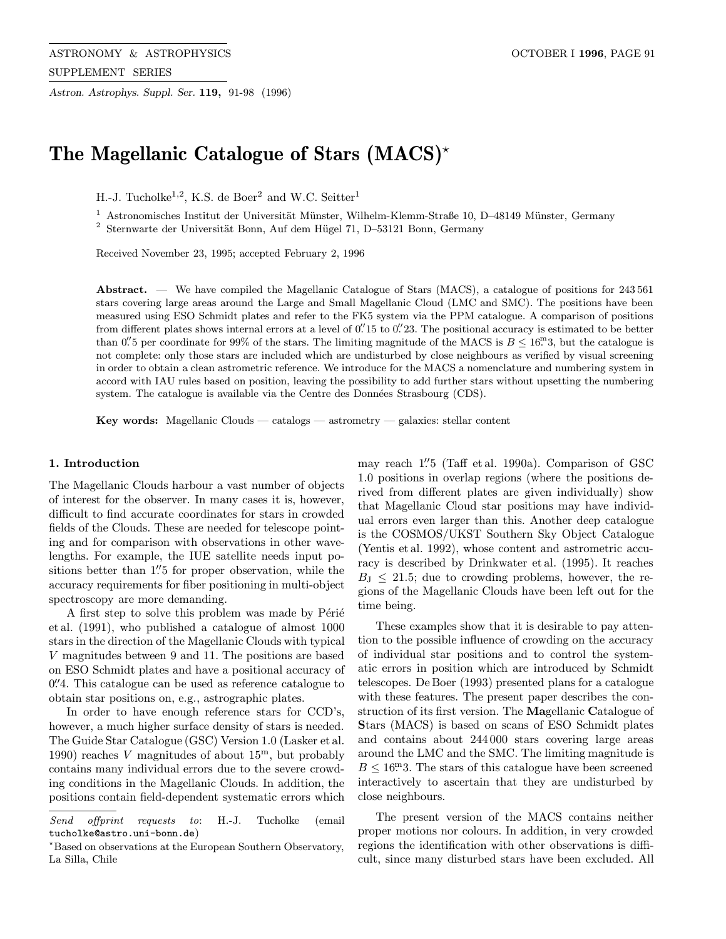Astron. Astrophys. Suppl. Ser. 119, 91-98 (1996)

# The Magellanic Catalogue of Stars  $(MACS)^*$

H.-J. Tucholke<sup>1,2</sup>, K.S. de Boer<sup>2</sup> and W.C. Seitter<sup>1</sup>

Astronomisches Institut der Universität Münster, Wilhelm-Klemm-Straße 10, D-48149 Münster, Germany

 $2$  Sternwarte der Universität Bonn, Auf dem Hügel 71, D–53121 Bonn, Germany

Received November 23, 1995; accepted February 2, 1996

Abstract. — We have compiled the Magellanic Catalogue of Stars (MACS), a catalogue of positions for 243561 stars covering large areas around the Large and Small Magellanic Cloud (LMC and SMC). The positions have been measured using ESO Schmidt plates and refer to the FK5 system via the PPM catalogue. A comparison of positions from different plates shows internal errors at a level of 0.  $15$  to 0. 23. The positional accuracy is estimated to be better than 0. per coordinate for 99% of the stars. The limiting magnitude of the MACS is  $B \le 16^{\circ}$ , but the catalogue is not complete: only those stars are included which are undisturbed by close neighbours as verified by visual screening in order to obtain a clean astrometric reference. We introduce for the MACS a nomenclature and numbering system in accord with IAU rules based on position, leaving the possibility to add further stars without upsetting the numbering system. The catalogue is available via the Centre des Données Strasbourg (CDS).

Key words: Magellanic Clouds — catalogs — astrometry — galaxies: stellar content

# 1. Introduction

The Magellanic Clouds harbour a vast number of objects of interest for the observer. In many cases it is, however, difficult to find accurate coordinates for stars in crowded fields of the Clouds. These are needed for telescope pointing and for comparison with observations in other wavelengths. For example, the IUE satellite needs input positions better than 1.''5 for proper observation, while the accuracy requirements for fiber positioning in multi-object spectroscopy are more demanding.

A first step to solve this problem was made by Périé et al. (1991), who published a catalogue of almost 1000 stars in the direction of the Magellanic Clouds with typical V magnitudes between 9 and 11. The positions are based on ESO Schmidt plates and have a positional accuracy of 0.<sup>7</sup>4. This catalogue can be used as reference catalogue to obtain star positions on, e.g., astrographic plates.

In order to have enough reference stars for CCD's, however, a much higher surface density of stars is needed. The Guide Star Catalogue (GSC) Version 1.0 (Lasker et al. 1990) reaches V magnitudes of about  $15^{\rm m}$ , but probably contains many individual errors due to the severe crowding conditions in the Magellanic Clouds. In addition, the positions contain field-dependent systematic errors which

may reach 1."5 (Taff et al. 1990a). Comparison of GSC 1.0 positions in overlap regions (where the positions derived from different plates are given individually) show that Magellanic Cloud star positions may have individual errors even larger than this. Another deep catalogue is the COSMOS/UKST Southern Sky Object Catalogue (Yentis et al. 1992), whose content and astrometric accuracy is described by Drinkwater et al. (1995). It reaches  $B_{\text{J}} \leq 21.5$ ; due to crowding problems, however, the regions of the Magellanic Clouds have been left out for the time being.

These examples show that it is desirable to pay attention to the possible influence of crowding on the accuracy of individual star positions and to control the systematic errors in position which are introduced by Schmidt telescopes. De Boer (1993) presented plans for a catalogue with these features. The present paper describes the construction of its first version. The Magellanic Catalogue of Stars (MACS) is based on scans of ESO Schmidt plates and contains about 244 000 stars covering large areas around the LMC and the SMC. The limiting magnitude is  $B\leq16\overset{\mathrm{m}}{\textbf{.}}3$  . The stars of this catalogue have been screened interactively to ascertain that they are undisturbed by close neighbours.

The present version of the MACS contains neither proper motions nor colours. In addition, in very crowded regions the identification with other observations is difficult, since many disturbed stars have been excluded. All

Send offprint requests to: H.-J. Tucholke (email tucholke@astro.uni-bonn.de)

<sup>?</sup>Based on observations at the European Southern Observatory, La Silla, Chile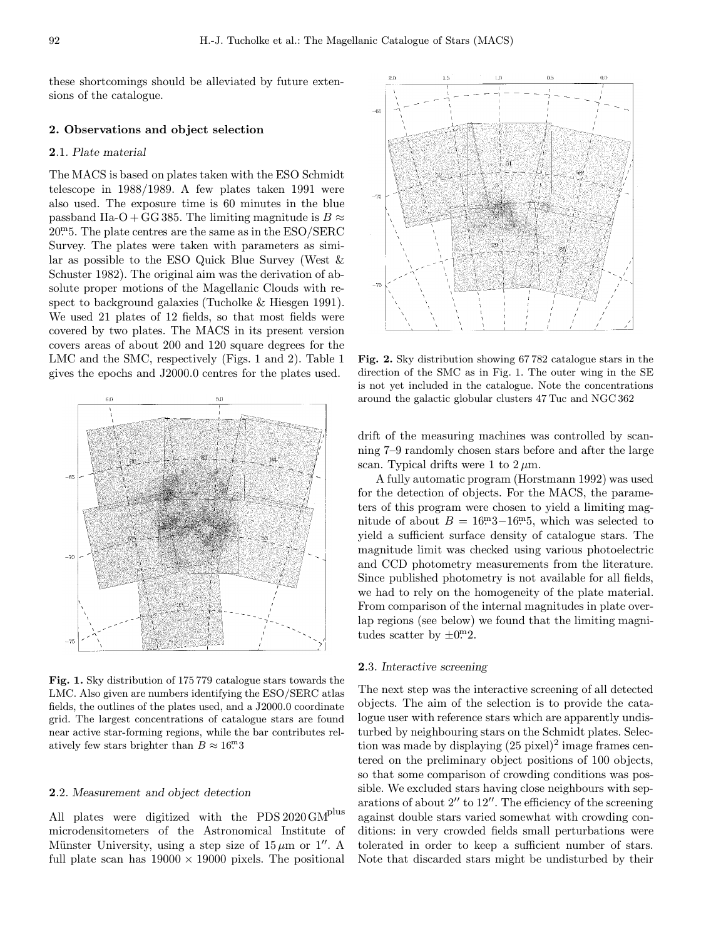these shortcomings should be alleviated by future extensions of the catalogue.

#### 2. Observations and object selection

#### 2.1. Plate material

The MACS is based on plates taken with the ESO Schmidt telescope in 1988/1989. A few plates taken 1991 were also used. The exposure time is 60 minutes in the blue passband IIa-O + GG 385. The limiting magnitude is  $B \approx$ 20<sup>m</sup>5. The plate centres are the same as in the ESO/SERC Survey. The plates were taken with parameters as similar as possible to the ESO Quick Blue Survey (West & Schuster 1982). The original aim was the derivation of absolute proper motions of the Magellanic Clouds with respect to background galaxies (Tucholke & Hiesgen 1991). We used 21 plates of 12 fields, so that most fields were covered by two plates. The MACS in its present version covers areas of about 200 and 120 square degrees for the LMC and the SMC, respectively (Figs. 1 and 2). Table 1 gives the epochs and J2000.0 centres for the plates used.



Fig. 1. Sky distribution of 175 779 catalogue stars towards the LMC. Also given are numbers identifying the ESO/SERC atlas fields, the outlines of the plates used, and a J2000.0 coordinate grid. The largest concentrations of catalogue stars are found near active star-forming regions, while the bar contributes relatively few stars brighter than  $B \approx 16<sup>m</sup>3$ 

#### 2.2. Measurement and object detection

All plates were digitized with the  $\rm{PDS\,2020\,GM}^{\rm{plus}}$ microdensitometers of the Astronomical Institute of Münster University, using a step size of  $15 \mu m$  or 1''. A full plate scan has  $19000 \times 19000$  pixels. The positional



Fig. 2. Sky distribution showing 67 782 catalogue stars in the direction of the SMC as in Fig. 1. The outer wing in the SE is not yet included in the catalogue. Note the concentrations around the galactic globular clusters 47 Tuc and NGC 362

drift of the measuring machines was controlled by scanning 7–9 randomly chosen stars before and after the large scan. Typical drifts were 1 to  $2 \mu$ m.

A fully automatic program (Horstmann 1992) was used for the detection of objects. For the MACS, the parameters of this program were chosen to yield a limiting magnitude of about  $B = 16^{m}3 - 16^{m}5$ , which was selected to yield a sufficient surface density of catalogue stars. The magnitude limit was checked using various photoelectric and CCD photometry measurements from the literature. Since published photometry is not available for all fields, we had to rely on the homogeneity of the plate material. From comparison of the internal magnitudes in plate overlap regions (see below) we found that the limiting magnitudes scatter by  $\pm 0^{\mathrm{m}}2$ .

# 2.3. Interactive screening

The next step was the interactive screening of all detected objects. The aim of the selection is to provide the catalogue user with reference stars which are apparently undisturbed by neighbouring stars on the Schmidt plates. Selection was made by displaying  $(25 \text{ pixel})^2$  image frames centered on the preliminary object positions of 100 objects, so that some comparison of crowding conditions was possible. We excluded stars having close neighbours with separations of about  $2^{\prime\prime}$  to  $12^{\prime\prime}$ . The efficiency of the screening against double stars varied somewhat with crowding conditions: in very crowded fields small perturbations were tolerated in order to keep a sufficient number of stars. Note that discarded stars might be undisturbed by their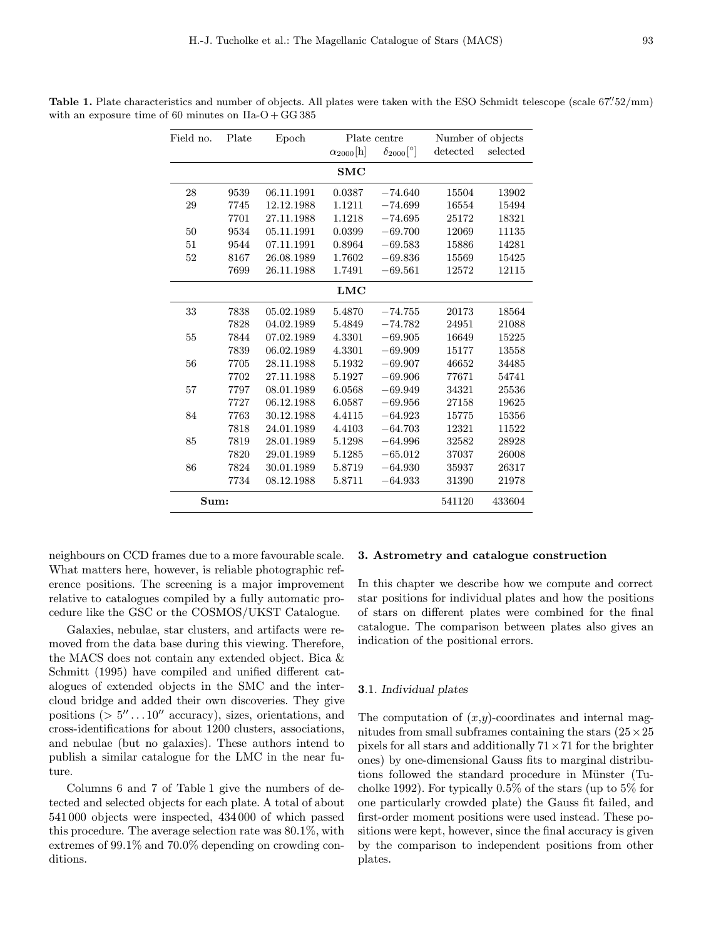| Field no.  | Plate | Epoch      |                           | Plate centre                    | Number of objects |          |  |  |  |  |  |
|------------|-------|------------|---------------------------|---------------------------------|-------------------|----------|--|--|--|--|--|
|            |       |            | $\alpha_{2000}[\text{h}]$ | $\delta_{2000}$ <sup>[°</sup> ] | detected          | selected |  |  |  |  |  |
|            |       |            | SMC                       |                                 |                   |          |  |  |  |  |  |
| 28         | 9539  | 06.11.1991 | 0.0387                    | $-74.640$                       | 15504             | 13902    |  |  |  |  |  |
| 29         | 7745  | 12.12.1988 | 1.1211                    | $-74.699$                       | 16554             | 15494    |  |  |  |  |  |
|            | 7701  | 27.11.1988 | 1.1218                    | $-74.695$                       | 25172             | 18321    |  |  |  |  |  |
| 50         | 9534  | 05.11.1991 | 0.0399                    | $-69.700$                       | 12069             | 11135    |  |  |  |  |  |
| 51         | 9544  | 07.11.1991 | 0.8964                    | $-69.583$                       | 15886             | 14281    |  |  |  |  |  |
| 52         | 8167  | 26.08.1989 | 1.7602                    | $-69.836$                       | 15569             | 15425    |  |  |  |  |  |
|            | 7699  | 26.11.1988 | 1.7491                    | $-69.561$                       | 12572             | 12115    |  |  |  |  |  |
| <b>LMC</b> |       |            |                           |                                 |                   |          |  |  |  |  |  |
| 33         | 7838  | 05.02.1989 | 5.4870                    | $-74.755$                       | 20173             | 18564    |  |  |  |  |  |
|            | 7828  | 04.02.1989 | 5.4849                    | $-74.782$                       | 24951             | 21088    |  |  |  |  |  |
| 55         | 7844  | 07.02.1989 | 4.3301                    | $-69.905$                       | 16649             | 15225    |  |  |  |  |  |
|            | 7839  | 06.02.1989 | 4.3301                    | $-69.909$                       | 15177             | 13558    |  |  |  |  |  |
| 56         | 7705  | 28.11.1988 | 5.1932                    | $-69.907$                       | 46652             | 34485    |  |  |  |  |  |
|            | 7702  | 27.11.1988 | 5.1927                    | $-69.906$                       | 77671             | 54741    |  |  |  |  |  |
| 57         | 7797  | 08.01.1989 | 6.0568                    | $-69.949$                       | 34321             | 25536    |  |  |  |  |  |
|            | 7727  | 06.12.1988 | 6.0587                    | $-69.956$                       | 27158             | 19625    |  |  |  |  |  |
| 84         | 7763  | 30.12.1988 | 4.4115                    | $-64.923$                       | 15775             | 15356    |  |  |  |  |  |
|            | 7818  | 24.01.1989 | 4.4103                    | $-64.703$                       | 12321             | 11522    |  |  |  |  |  |
| 85         | 7819  | 28.01.1989 | 5.1298                    | $-64.996$                       | 32582             | 28928    |  |  |  |  |  |
|            | 7820  | 29.01.1989 | 5.1285                    | $-65.012$                       | 37037             | 26008    |  |  |  |  |  |
| 86         | 7824  | 30.01.1989 | 5.8719                    | $-64.930$                       | 35937             | 26317    |  |  |  |  |  |
|            | 7734  | 08.12.1988 | 5.8711                    | $-64.933$                       | 31390             | 21978    |  |  |  |  |  |
| Sum:       |       |            |                           | 541120                          | 433604            |          |  |  |  |  |  |

**Table 1.** Plate characteristics and number of objects. All plates were taken with the ESO Schmidt telescope (scale  $67\degree/52/\text{mm}$ ) with an exposure time of 60 minutes on  $IIa-O+GG385$ 

neighbours on CCD frames due to a more favourable scale. What matters here, however, is reliable photographic reference positions. The screening is a major improvement relative to catalogues compiled by a fully automatic procedure like the GSC or the COSMOS/UKST Catalogue.

Galaxies, nebulae, star clusters, and artifacts were removed from the data base during this viewing. Therefore, the MACS does not contain any extended object. Bica & Schmitt (1995) have compiled and unified different catalogues of extended objects in the SMC and the intercloud bridge and added their own discoveries. They give positions ( $> 5^{\prime\prime} \dots 10^{\prime\prime}$  accuracy), sizes, orientations, and cross-identifications for about 1200 clusters, associations, and nebulae (but no galaxies). These authors intend to publish a similar catalogue for the LMC in the near future.

Columns 6 and 7 of Table 1 give the numbers of detected and selected objects for each plate. A total of about 541 000 objects were inspected, 434 000 of which passed this procedure. The average selection rate was 80.1%, with extremes of 99.1% and 70.0% depending on crowding conditions.

## 3. Astrometry and catalogue construction

In this chapter we describe how we compute and correct star positions for individual plates and how the positions of stars on different plates were combined for the final catalogue. The comparison between plates also gives an indication of the positional errors.

## 3.1. Individual plates

The computation of  $(x,y)$ -coordinates and internal magnitudes from small subframes containing the stars  $(25 \times 25)$ pixels for all stars and additionally  $71 \times 71$  for the brighter ones) by one-dimensional Gauss fits to marginal distributions followed the standard procedure in Münster (Tucholke 1992). For typically 0.5% of the stars (up to 5% for one particularly crowded plate) the Gauss fit failed, and first-order moment positions were used instead. These positions were kept, however, since the final accuracy is given by the comparison to independent positions from other plates.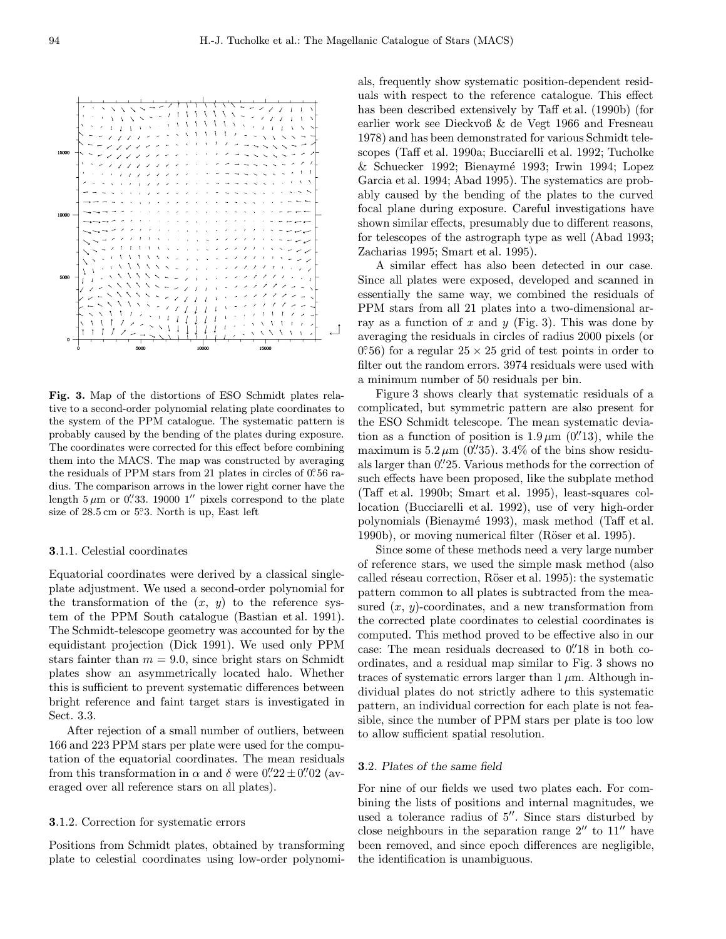

Fig. 3. Map of the distortions of ESO Schmidt plates relative to a second-order polynomial relating plate coordinates to the system of the PPM catalogue. The systematic pattern is probably caused by the bending of the plates during exposure. The coordinates were corrected for this effect before combining them into the MACS. The map was constructed by averaging the residuals of PPM stars from 21 plates in circles of  $0^\circ 56$  radius. The comparison arrows in the lower right corner have the length  $5 \mu m$  or 0.  $33.190001''$  pixels correspond to the plate size of 28.5 cm or 5°.3. North is up, East left

#### 3.1.1. Celestial coordinates

Equatorial coordinates were derived by a classical singleplate adjustment. We used a second-order polynomial for the transformation of the  $(x, y)$  to the reference system of the PPM South catalogue (Bastian et al. 1991). The Schmidt-telescope geometry was accounted for by the equidistant projection (Dick 1991). We used only PPM stars fainter than  $m = 9.0$ , since bright stars on Schmidt plates show an asymmetrically located halo. Whether this is sufficient to prevent systematic differences between bright reference and faint target stars is investigated in Sect. 3.3.

After rejection of a small number of outliers, between 166 and 223 PPM stars per plate were used for the computation of the equatorial coordinates. The mean residuals from this transformation in  $\alpha$  and  $\delta$  were  $0\rlap{.}^{\prime\prime}\phantom{.}22 \pm 0\rlap{.}^{\prime\prime}\phantom{.}02$  (averaged over all reference stars on all plates).

#### 3.1.2. Correction for systematic errors

Positions from Schmidt plates, obtained by transforming plate to celestial coordinates using low-order polynomials, frequently show systematic position-dependent residuals with respect to the reference catalogue. This effect has been described extensively by Taff et al. (1990b) (for earlier work see Dieckvoß & de Vegt 1966 and Fresneau 1978) and has been demonstrated for various Schmidt telescopes (Taff et al. 1990a; Bucciarelli et al. 1992; Tucholke & Schuecker 1992; Bienaym´e 1993; Irwin 1994; Lopez Garcia et al. 1994; Abad 1995). The systematics are probably caused by the bending of the plates to the curved focal plane during exposure. Careful investigations have shown similar effects, presumably due to different reasons, for telescopes of the astrograph type as well (Abad 1993; Zacharias 1995; Smart et al. 1995).

A similar effect has also been detected in our case. Since all plates were exposed, developed and scanned in essentially the same way, we combined the residuals of PPM stars from all 21 plates into a two-dimensional array as a function of x and y (Fig. 3). This was done by averaging the residuals in circles of radius 2000 pixels (or  $(0.56)$  for a regular  $25 \times 25$  grid of test points in order to filter out the random errors. 3974 residuals were used with a minimum number of 50 residuals per bin.

Figure 3 shows clearly that systematic residuals of a complicated, but symmetric pattern are also present for the ESO Schmidt telescope. The mean systematic deviation as a function of position is  $1.9 \mu m$  (0.''13), while the maximum is  $5.2 \,\mu$ m (0.'35).  $3.4\%$  of the bins show residuals larger than  $0\rlap{.}^{\prime\prime}25$ . Various methods for the correction of such effects have been proposed, like the subplate method (Taff et al. 1990b; Smart et al. 1995), least-squares collocation (Bucciarelli et al. 1992), use of very high-order polynomials (Bienaym´e 1993), mask method (Taff et al. 1990b), or moving numerical filter (Röser et al. 1995).

Since some of these methods need a very large number of reference stars, we used the simple mask method (also called réseau correction, Röser et al. 1995): the systematic pattern common to all plates is subtracted from the measured  $(x, y)$ -coordinates, and a new transformation from the corrected plate coordinates to celestial coordinates is computed. This method proved to be effective also in our case: The mean residuals decreased to  $0''$ 18 in both coordinates, and a residual map similar to Fig. 3 shows no traces of systematic errors larger than  $1 \mu$ m. Although individual plates do not strictly adhere to this systematic pattern, an individual correction for each plate is not feasible, since the number of PPM stars per plate is too low to allow sufficient spatial resolution.

#### 3.2. Plates of the same field

For nine of our fields we used two plates each. For combining the lists of positions and internal magnitudes, we used a tolerance radius of  $5''$ . Since stars disturbed by close neighbours in the separation range  $2''$  to  $11''$  have been removed, and since epoch differences are negligible, the identification is unambiguous.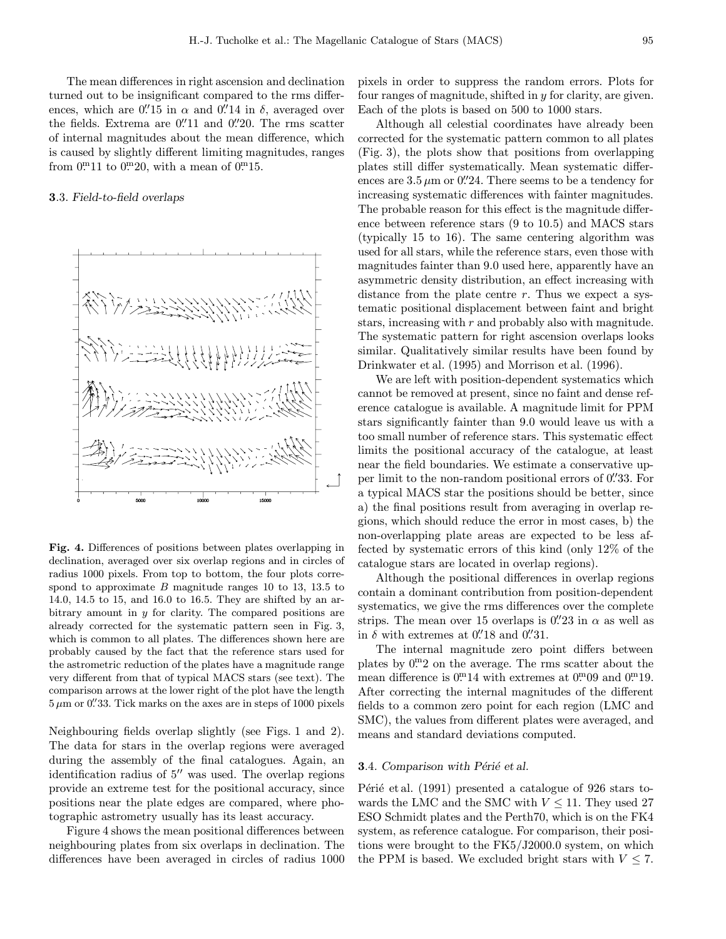The mean differences in right ascension and declination turned out to be insignificant compared to the rms differences, which are  $0''$ 15 in  $\alpha$  and  $0''$ 14 in  $\delta$ , averaged over the fields. Extrema are  $0''11$  and  $0''20$ . The rms scatter of internal magnitudes about the mean difference, which is caused by slightly different limiting magnitudes, ranges from  $0^{m}11$  to  $0^{m}20$ , with a mean of  $0^{m}15$ .

## 3.3. Field-to-field overlaps



Fig. 4. Differences of positions between plates overlapping in declination, averaged over six overlap regions and in circles of radius 1000 pixels. From top to bottom, the four plots correspond to approximate  $B$  magnitude ranges 10 to 13, 13.5 to 14.0, 14.5 to 15, and 16.0 to 16.5. They are shifted by an arbitrary amount in  $y$  for clarity. The compared positions are already corrected for the systematic pattern seen in Fig. 3, which is common to all plates. The differences shown here are probably caused by the fact that the reference stars used for the astrometric reduction of the plates have a magnitude range very different from that of typical MACS stars (see text). The comparison arrows at the lower right of the plot have the length  $5\,\mu\mathrm{m}$  or 0. 33. Tick marks on the axes are in steps of 1000 pixels

Neighbouring fields overlap slightly (see Figs. 1 and 2). The data for stars in the overlap regions were averaged during the assembly of the final catalogues. Again, an identification radius of  $5<sup>0</sup>$  was used. The overlap regions provide an extreme test for the positional accuracy, since positions near the plate edges are compared, where photographic astrometry usually has its least accuracy.

Figure 4 shows the mean positional differences between neighbouring plates from six overlaps in declination. The differences have been averaged in circles of radius 1000 pixels in order to suppress the random errors. Plots for four ranges of magnitude, shifted in y for clarity, are given. Each of the plots is based on 500 to 1000 stars.

Although all celestial coordinates have already been corrected for the systematic pattern common to all plates (Fig. 3), the plots show that positions from overlapping plates still differ systematically. Mean systematic differences are  $3.5 \,\mu$ m or 0.'24. There seems to be a tendency for increasing systematic differences with fainter magnitudes. The probable reason for this effect is the magnitude difference between reference stars (9 to 10.5) and MACS stars (typically 15 to 16). The same centering algorithm was used for all stars, while the reference stars, even those with magnitudes fainter than 9.0 used here, apparently have an asymmetric density distribution, an effect increasing with distance from the plate centre  $r$ . Thus we expect a systematic positional displacement between faint and bright stars, increasing with  $r$  and probably also with magnitude. The systematic pattern for right ascension overlaps looks similar. Qualitatively similar results have been found by Drinkwater et al. (1995) and Morrison et al. (1996).

We are left with position-dependent systematics which cannot be removed at present, since no faint and dense reference catalogue is available. A magnitude limit for PPM stars significantly fainter than 9.0 would leave us with a too small number of reference stars. This systematic effect limits the positional accuracy of the catalogue, at least near the field boundaries. We estimate a conservative upper limit to the non-random positional errors of 0.  $33$ . For a typical MACS star the positions should be better, since a) the final positions result from averaging in overlap regions, which should reduce the error in most cases, b) the non-overlapping plate areas are expected to be less affected by systematic errors of this kind (only 12% of the catalogue stars are located in overlap regions).

Although the positional differences in overlap regions contain a dominant contribution from position-dependent systematics, we give the rms differences over the complete strips. The mean over 15 overlaps is  $0.^{\prime\prime}23$  in  $\alpha$  as well as in  $\delta$  with extremes at 0.'18 and 0.'31.

The internal magnitude zero point differs between plates by  $0<sup>m</sup>2$  on the average. The rms scatter about the mean difference is  $0^{m}14$  with extremes at  $0^{m}09$  and  $0^{m}19$ . After correcting the internal magnitudes of the different fields to a common zero point for each region (LMC and SMC), the values from different plates were averaged, and means and standard deviations computed.

#### **3.4.** Comparison with Périé et al.

Périé et al.  $(1991)$  presented a catalogue of 926 stars towards the LMC and the SMC with  $V \leq 11$ . They used 27 ESO Schmidt plates and the Perth70, which is on the FK4 system, as reference catalogue. For comparison, their positions were brought to the FK5/J2000.0 system, on which the PPM is based. We excluded bright stars with  $V \leq 7$ .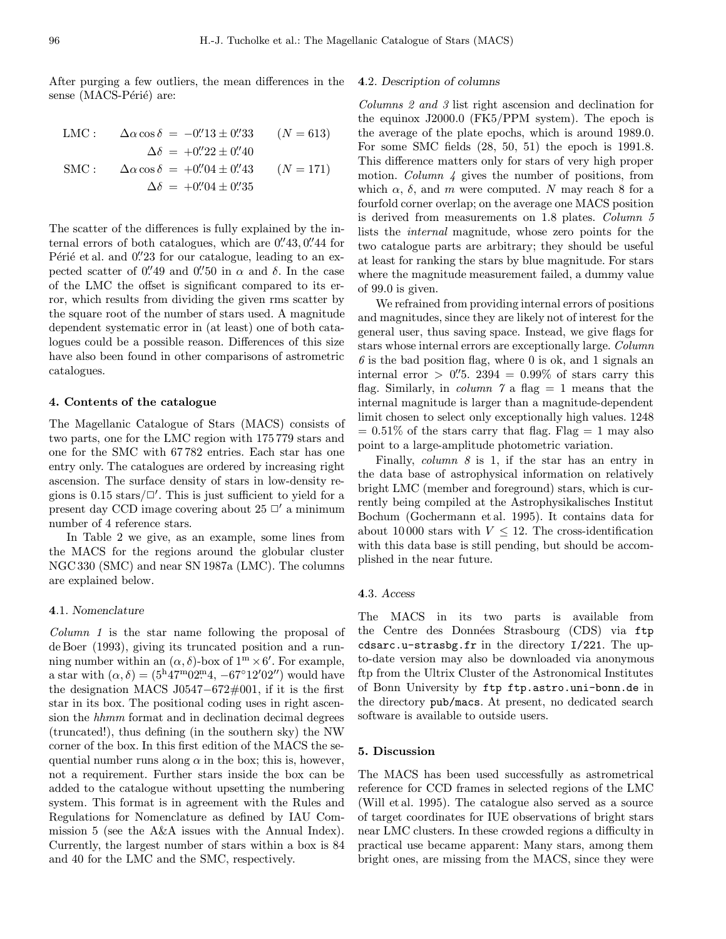After purging a few outliers, the mean differences in the sense (MACS-Périé) are:

LMC: 
$$
\Delta \alpha \cos \delta = -0''.13 \pm 0''.33
$$
  $(N = 613)$   
 $\Delta \delta = +0''.22 \pm 0''.40$ 

$$
\text{SMC:} \qquad \Delta \alpha \cos \delta = +0\text{''}04 \pm 0\text{''}43 \qquad (N = 171) \n\Delta \delta = +0\text{''}04 \pm 0\text{''}35
$$

The scatter of the differences is fully explained by the internal errors of both catalogues, which are  $0.^{\prime\prime}43,0.^{\prime\prime}44$  for Périé et al. and 0.<sup>"</sup>23 for our catalogue, leading to an expected scatter of 0.'49 and 0.'50 in  $\alpha$  and  $\delta$ . In the case of the LMC the offset is significant compared to its error, which results from dividing the given rms scatter by the square root of the number of stars used. A magnitude dependent systematic error in (at least) one of both catalogues could be a possible reason. Differences of this size have also been found in other comparisons of astrometric catalogues.

## 4. Contents of the catalogue

The Magellanic Catalogue of Stars (MACS) consists of two parts, one for the LMC region with 175 779 stars and one for the SMC with 67 782 entries. Each star has one entry only. The catalogues are ordered by increasing right ascension. The surface density of stars in low-density regions is  $0.15$  stars/ $\square'$ . This is just sufficient to yield for a present day CCD image covering about  $25 \Box'$  a minimum number of 4 reference stars.

In Table 2 we give, as an example, some lines from the MACS for the regions around the globular cluster NGC 330 (SMC) and near SN 1987a (LMC). The columns are explained below.

#### 4.1. Nomenclature

Column 1 is the star name following the proposal of de Boer (1993), giving its truncated position and a running number within an  $(\alpha, \delta)$ -box of  $1^m \times 6'$ . For example, a star with  $(\alpha, \delta) = (5^{\rm h}47^{\rm m}02^{\rm m}4, -67^{\circ}12'02'')$  would have the designation MACS J0547−672#001, if it is the first star in its box. The positional coding uses in right ascension the hhmm format and in declination decimal degrees (truncated!), thus defining (in the southern sky) the NW corner of the box. In this first edition of the MACS the sequential number runs along  $\alpha$  in the box; this is, however, not a requirement. Further stars inside the box can be added to the catalogue without upsetting the numbering system. This format is in agreement with the Rules and Regulations for Nomenclature as defined by IAU Commission 5 (see the A&A issues with the Annual Index). Currently, the largest number of stars within a box is 84 and 40 for the LMC and the SMC, respectively.

#### 4.2. Description of columns

Columns 2 and 3 list right ascension and declination for the equinox J2000.0 (FK5/PPM system). The epoch is the average of the plate epochs, which is around 1989.0. For some SMC fields (28, 50, 51) the epoch is 1991.8. This difference matters only for stars of very high proper motion. *Column 4* gives the number of positions, from which  $\alpha$ ,  $\delta$ , and m were computed. N may reach 8 for a fourfold corner overlap; on the average one MACS position is derived from measurements on 1.8 plates. Column 5 lists the internal magnitude, whose zero points for the two catalogue parts are arbitrary; they should be useful at least for ranking the stars by blue magnitude. For stars where the magnitude measurement failed, a dummy value of 99.0 is given.

We refrained from providing internal errors of positions and magnitudes, since they are likely not of interest for the general user, thus saving space. Instead, we give flags for stars whose internal errors are exceptionally large. Column  $6$  is the bad position flag, where 0 is ok, and 1 signals an internal error  $> 0.^{\prime\prime}5.2394 = 0.99\%$  of stars carry this flag. Similarly, in *column*  $\gamma$  a flag = 1 means that the internal magnitude is larger than a magnitude-dependent limit chosen to select only exceptionally high values. 1248  $= 0.51\%$  of the stars carry that flag. Flag  $= 1$  may also point to a large-amplitude photometric variation.

Finally, *column 8* is 1, if the star has an entry in the data base of astrophysical information on relatively bright LMC (member and foreground) stars, which is currently being compiled at the Astrophysikalisches Institut Bochum (Gochermann et al. 1995). It contains data for about 10000 stars with  $V \leq 12$ . The cross-identification with this data base is still pending, but should be accomplished in the near future.

# 4.3. Access

The MACS in its two parts is available from the Centre des Données Strasbourg (CDS) via ftp cdsarc.u-strasbg.fr in the directory I/221. The upto-date version may also be downloaded via anonymous ftp from the Ultrix Cluster of the Astronomical Institutes of Bonn University by ftp ftp.astro.uni-bonn.de in the directory pub/macs. At present, no dedicated search software is available to outside users.

### 5. Discussion

The MACS has been used successfully as astrometrical reference for CCD frames in selected regions of the LMC (Will et al. 1995). The catalogue also served as a source of target coordinates for IUE observations of bright stars near LMC clusters. In these crowded regions a difficulty in practical use became apparent: Many stars, among them bright ones, are missing from the MACS, since they were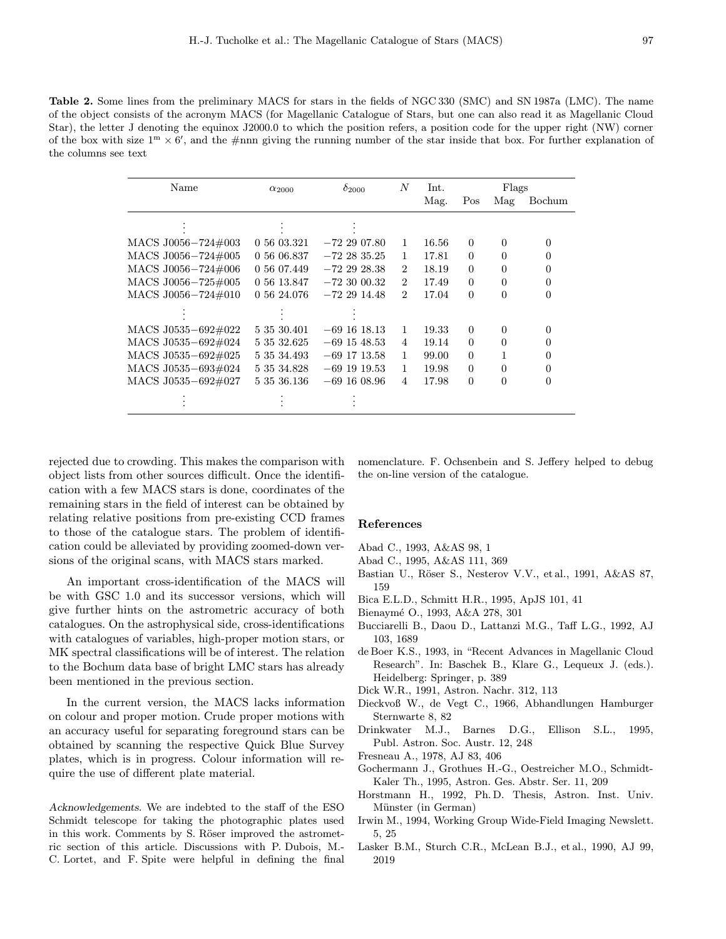Table 2. Some lines from the preliminary MACS for stars in the fields of NGC 330 (SMC) and SN 1987a (LMC). The name of the object consists of the acronym MACS (for Magellanic Catalogue of Stars, but one can also read it as Magellanic Cloud Star), the letter J denoting the equinox J2000.0 to which the position refers, a position code for the upper right (NW) corner of the box with size  $1^m \times 6'$ , and the #nnn giving the running number of the star inside that box. For further explanation of the columns see text

| Name               | $\alpha_{2000}$ | $\delta_{2000}$ | N              | Int.  | Flags    |          |          |
|--------------------|-----------------|-----------------|----------------|-------|----------|----------|----------|
|                    |                 |                 |                | Mag.  | Pos      | Mag      | Bochum   |
|                    |                 |                 |                |       |          |          |          |
| MACS J0056-724#003 | 0 56 03.321     | $-722907.80$    | 1              | 16.56 | $\Omega$ | 0        | $\Omega$ |
| MACS J0056-724#005 | 0 56 06.837     | $-722835.25$    | 1              | 17.81 | $\Omega$ | 0        | $\Omega$ |
| MACS J0056-724#006 | 0 56 07.449     | $-722928.38$    | $\overline{2}$ | 18.19 | $\Omega$ | 0        | $\Omega$ |
| MACS J0056-725#005 | 0 56 13.847     | $-72,30,00.32$  | $\overline{2}$ | 17.49 | $\Omega$ | $\Omega$ | $\Omega$ |
| MACS J0056-724#010 | 0 56 24.076     | $-722914.48$    | $\overline{2}$ | 17.04 | $\Omega$ | $\Omega$ | $\Omega$ |
|                    |                 |                 |                |       |          |          |          |
| MACS J0535-692#022 | 5 35 30.401     | $-69$ 16 18.13  | 1              | 19.33 | $\Omega$ | $\Omega$ | $\Omega$ |
| MACS J0535-692#024 | 5 35 32.625     | $-69$ 15 48.53  | $\overline{4}$ | 19.14 | $\Omega$ | 0        | $\Omega$ |
| MACS J0535-692#025 | 5 35 34.493     | $-69$ 17 13.58  | 1              | 99.00 | $\Omega$ | 1        | $\Omega$ |
| MACS J0535-693#024 | 5 35 34.828     | $-69$ 19 19.53  | 1              | 19.98 | $\Omega$ | $\Omega$ | 0        |
| MACS J0535-692#027 | 5 35 36.136     | $-69$ 16 08.96  | $\overline{4}$ | 17.98 | $\Omega$ | $\Omega$ | $\Omega$ |
|                    |                 |                 |                |       |          |          |          |

rejected due to crowding. This makes the comparison with object lists from other sources difficult. Once the identification with a few MACS stars is done, coordinates of the remaining stars in the field of interest can be obtained by relating relative positions from pre-existing CCD frames to those of the catalogue stars. The problem of identification could be alleviated by providing zoomed-down versions of the original scans, with MACS stars marked.

An important cross-identification of the MACS will be with GSC 1.0 and its successor versions, which will give further hints on the astrometric accuracy of both catalogues. On the astrophysical side, cross-identifications with catalogues of variables, high-proper motion stars, or MK spectral classifications will be of interest. The relation to the Bochum data base of bright LMC stars has already been mentioned in the previous section.

In the current version, the MACS lacks information on colour and proper motion. Crude proper motions with an accuracy useful for separating foreground stars can be obtained by scanning the respective Quick Blue Survey plates, which is in progress. Colour information will require the use of different plate material.

Acknowledgements. We are indebted to the staff of the ESO Schmidt telescope for taking the photographic plates used in this work. Comments by S. Röser improved the astrometric section of this article. Discussions with P. Dubois, M.- C. Lortet, and F. Spite were helpful in defining the final

nomenclature. F. Ochsenbein and S. Jeffery helped to debug the on-line version of the catalogue.

#### References

- Abad C., 1993, A&AS 98, 1
- Abad C., 1995, A&AS 111, 369
- Bastian U., Röser S., Nesterov V.V., et al., 1991, A&AS 87, 159
- Bica E.L.D., Schmitt H.R., 1995, ApJS 101, 41
- Bienaym´e O., 1993, A&A 278, 301
- Bucciarelli B., Daou D., Lattanzi M.G., Taff L.G., 1992, AJ 103, 1689
- de Boer K.S., 1993, in "Recent Advances in Magellanic Cloud Research". In: Baschek B., Klare G., Lequeux J. (eds.). Heidelberg: Springer, p. 389
- Dick W.R., 1991, Astron. Nachr. 312, 113
- Dieckvoß W., de Vegt C., 1966, Abhandlungen Hamburger Sternwarte 8, 82
- Drinkwater M.J., Barnes D.G., Ellison S.L., 1995, Publ. Astron. Soc. Austr. 12, 248
- Fresneau A., 1978, AJ 83, 406
- Gochermann J., Grothues H.-G., Oestreicher M.O., Schmidt-Kaler Th., 1995, Astron. Ges. Abstr. Ser. 11, 209
- Horstmann H., 1992, Ph. D. Thesis, Astron. Inst. Univ. Münster (in German)
- Irwin M., 1994, Working Group Wide-Field Imaging Newslett. 5, 25
- Lasker B.M., Sturch C.R., McLean B.J., et al., 1990, AJ 99, 2019